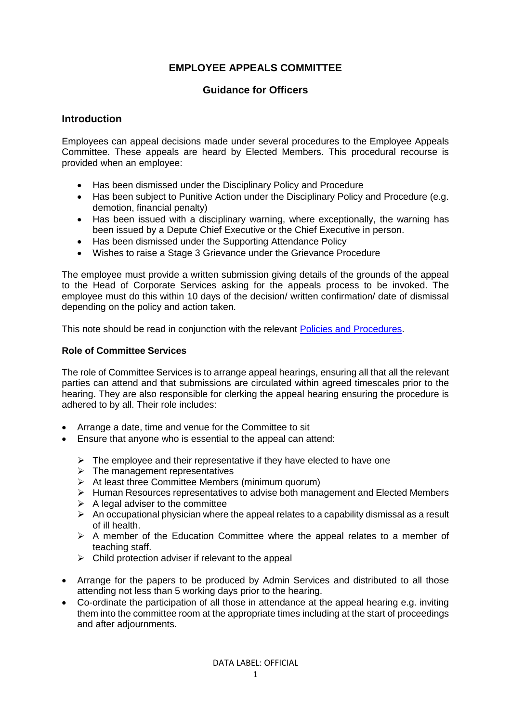# **EMPLOYEE APPEALS COMMITTEE**

# **Guidance for Officers**

# **Introduction**

Employees can appeal decisions made under several procedures to the Employee Appeals Committee. These appeals are heard by Elected Members. This procedural recourse is provided when an employee:

- Has been dismissed under the Disciplinary Policy and Procedure
- Has been subject to Punitive Action under the Disciplinary Policy and Procedure (e.g. demotion, financial penalty)
- Has been issued with a disciplinary warning, where exceptionally, the warning has been issued by a Depute Chief Executive or the Chief Executive in person.
- Has been dismissed under the Supporting Attendance Policy
- Wishes to raise a Stage 3 Grievance under the Grievance Procedure

The employee must provide a written submission giving details of the grounds of the appeal to the Head of Corporate Services asking for the appeals process to be invoked. The employee must do this within 10 days of the decision/ written confirmation/ date of dismissal depending on the policy and action taken.

This note should be read in conjunction with the relevant [Policies and Procedures.](https://www.westlothian.gov.uk/hr-policies)

#### **Role of Committee Services**

The role of Committee Services is to arrange appeal hearings, ensuring all that all the relevant parties can attend and that submissions are circulated within agreed timescales prior to the hearing. They are also responsible for clerking the appeal hearing ensuring the procedure is adhered to by all. Their role includes:

- Arrange a date, time and venue for the Committee to sit
- Ensure that anyone who is essential to the appeal can attend:
	- $\triangleright$  The employee and their representative if they have elected to have one
	- $\triangleright$  The management representatives
	- ➢ At least three Committee Members (minimum quorum)
	- ➢ Human Resources representatives to advise both management and Elected Members
	- $\triangleright$  A legal adviser to the committee
	- $\triangleright$  An occupational physician where the appeal relates to a capability dismissal as a result of ill health.
	- ➢ A member of the Education Committee where the appeal relates to a member of teaching staff.
	- $\triangleright$  Child protection adviser if relevant to the appeal
- Arrange for the papers to be produced by Admin Services and distributed to all those attending not less than 5 working days prior to the hearing.
- Co-ordinate the participation of all those in attendance at the appeal hearing e.g. inviting them into the committee room at the appropriate times including at the start of proceedings and after adjournments.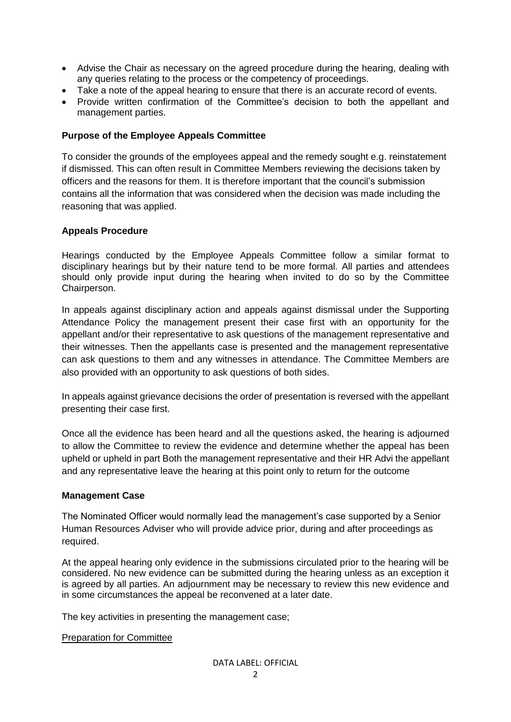- Advise the Chair as necessary on the agreed procedure during the hearing, dealing with any queries relating to the process or the competency of proceedings.
- Take a note of the appeal hearing to ensure that there is an accurate record of events.
- Provide written confirmation of the Committee's decision to both the appellant and management parties.

# **Purpose of the Employee Appeals Committee**

To consider the grounds of the employees appeal and the remedy sought e.g. reinstatement if dismissed. This can often result in Committee Members reviewing the decisions taken by officers and the reasons for them. It is therefore important that the council's submission contains all the information that was considered when the decision was made including the reasoning that was applied.

#### **Appeals Procedure**

Hearings conducted by the Employee Appeals Committee follow a similar format to disciplinary hearings but by their nature tend to be more formal. All parties and attendees should only provide input during the hearing when invited to do so by the Committee Chairperson.

In appeals against disciplinary action and appeals against dismissal under the Supporting Attendance Policy the management present their case first with an opportunity for the appellant and/or their representative to ask questions of the management representative and their witnesses. Then the appellants case is presented and the management representative can ask questions to them and any witnesses in attendance. The Committee Members are also provided with an opportunity to ask questions of both sides.

In appeals against grievance decisions the order of presentation is reversed with the appellant presenting their case first.

Once all the evidence has been heard and all the questions asked, the hearing is adjourned to allow the Committee to review the evidence and determine whether the appeal has been upheld or upheld in part Both the management representative and their HR Advi the appellant and any representative leave the hearing at this point only to return for the outcome

#### **Management Case**

The Nominated Officer would normally lead the management's case supported by a Senior Human Resources Adviser who will provide advice prior, during and after proceedings as required.

At the appeal hearing only evidence in the submissions circulated prior to the hearing will be considered. No new evidence can be submitted during the hearing unless as an exception it is agreed by all parties. An adjournment may be necessary to review this new evidence and in some circumstances the appeal be reconvened at a later date.

The key activities in presenting the management case;

#### Preparation for Committee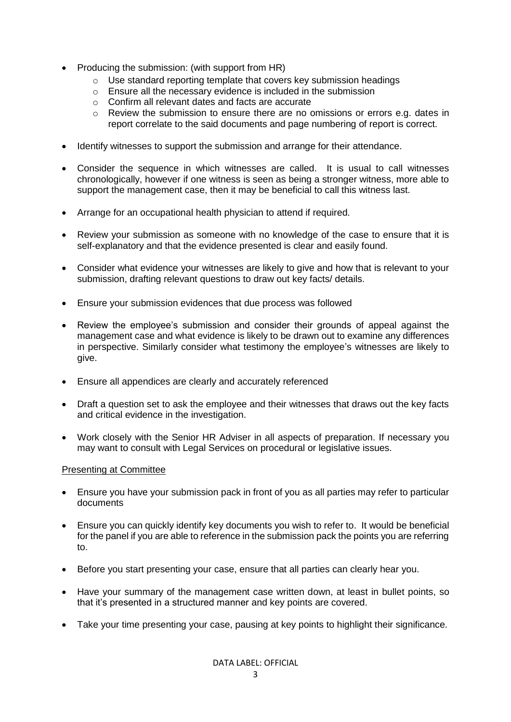- Producing the submission: (with support from HR)
	- o Use standard reporting template that covers key submission headings
	- $\circ$  Ensure all the necessary evidence is included in the submission
	- o Confirm all relevant dates and facts are accurate
	- $\circ$  Review the submission to ensure there are no omissions or errors e.g. dates in report correlate to the said documents and page numbering of report is correct.
- Identify witnesses to support the submission and arrange for their attendance.
- Consider the sequence in which witnesses are called. It is usual to call witnesses chronologically, however if one witness is seen as being a stronger witness, more able to support the management case, then it may be beneficial to call this witness last.
- Arrange for an occupational health physician to attend if required.
- Review your submission as someone with no knowledge of the case to ensure that it is self-explanatory and that the evidence presented is clear and easily found.
- Consider what evidence your witnesses are likely to give and how that is relevant to your submission, drafting relevant questions to draw out key facts/ details.
- Ensure your submission evidences that due process was followed
- Review the employee's submission and consider their grounds of appeal against the management case and what evidence is likely to be drawn out to examine any differences in perspective. Similarly consider what testimony the employee's witnesses are likely to give.
- Ensure all appendices are clearly and accurately referenced
- Draft a question set to ask the employee and their witnesses that draws out the key facts and critical evidence in the investigation.
- Work closely with the Senior HR Adviser in all aspects of preparation. If necessary you may want to consult with Legal Services on procedural or legislative issues.

#### Presenting at Committee

- Ensure you have your submission pack in front of you as all parties may refer to particular documents
- Ensure you can quickly identify key documents you wish to refer to. It would be beneficial for the panel if you are able to reference in the submission pack the points you are referring to.
- Before you start presenting your case, ensure that all parties can clearly hear you.
- Have your summary of the management case written down, at least in bullet points, so that it's presented in a structured manner and key points are covered.
- Take your time presenting your case, pausing at key points to highlight their significance.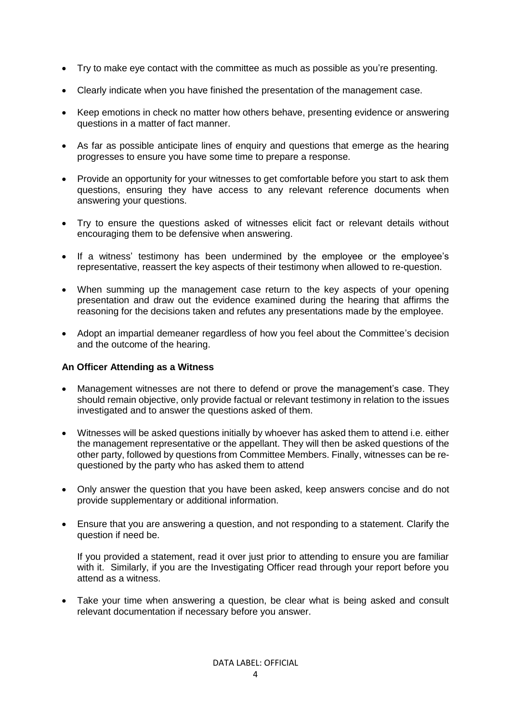- Try to make eye contact with the committee as much as possible as you're presenting.
- Clearly indicate when you have finished the presentation of the management case.
- Keep emotions in check no matter how others behave, presenting evidence or answering questions in a matter of fact manner.
- As far as possible anticipate lines of enquiry and questions that emerge as the hearing progresses to ensure you have some time to prepare a response.
- Provide an opportunity for your witnesses to get comfortable before you start to ask them questions, ensuring they have access to any relevant reference documents when answering your questions.
- Try to ensure the questions asked of witnesses elicit fact or relevant details without encouraging them to be defensive when answering.
- If a witness' testimony has been undermined by the employee or the employee's representative, reassert the key aspects of their testimony when allowed to re-question.
- When summing up the management case return to the key aspects of your opening presentation and draw out the evidence examined during the hearing that affirms the reasoning for the decisions taken and refutes any presentations made by the employee.
- Adopt an impartial demeaner regardless of how you feel about the Committee's decision and the outcome of the hearing.

#### **An Officer Attending as a Witness**

- Management witnesses are not there to defend or prove the management's case. They should remain objective, only provide factual or relevant testimony in relation to the issues investigated and to answer the questions asked of them.
- Witnesses will be asked questions initially by whoever has asked them to attend i.e. either the management representative or the appellant. They will then be asked questions of the other party, followed by questions from Committee Members. Finally, witnesses can be requestioned by the party who has asked them to attend
- Only answer the question that you have been asked, keep answers concise and do not provide supplementary or additional information.
- Ensure that you are answering a question, and not responding to a statement. Clarify the question if need be.

If you provided a statement, read it over just prior to attending to ensure you are familiar with it. Similarly, if you are the Investigating Officer read through your report before you attend as a witness.

• Take your time when answering a question, be clear what is being asked and consult relevant documentation if necessary before you answer.